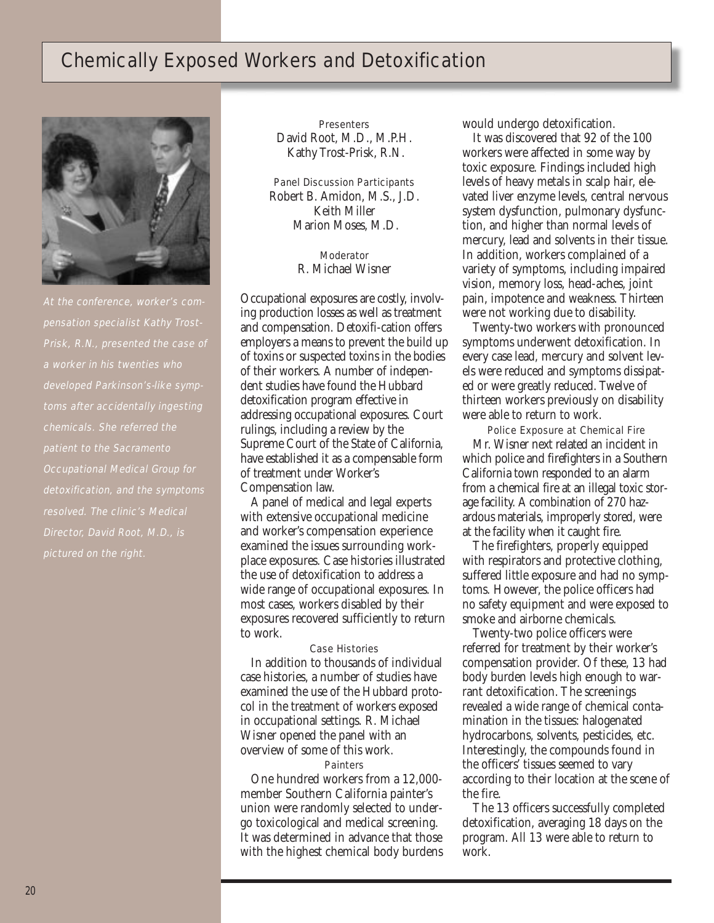# Chemically Exposed Workers and Detoxification



pensation specialist Kathy Trost-Prisk, R.N., presented the case of developed Parkinson's-like symptoms after accidentally ingesting chemicals. She referred the patient to the Sacramento Occupational Medical Group for detoxification, and the symptoms resolved. The clinic's Medical Director, David Root, M.D., is pictured on the right.

**Presenters** David Root, M.D., M.P.H. Kathy Trost-Prisk, R.N.

Panel Discussion Participants Robert B. Amidon, M.S., J.D. Keith Miller Marion Moses, M.D.

> **Moderator** R. Michael Wisner

Occupational exposures are costly, involving production losses as well as treatment and compensation. Detoxifi-cation offers employers a means to prevent the build up of toxins or suspected toxins in the bodies of their workers. A number of independent studies have found the Hubbard detoxification program effective in addressing occupational exposures. Court rulings, including a review by the Supreme Court of the State of California, have established it as a compensable form of treatment under Worker's Compensation law.

A panel of medical and legal experts with extensive occupational medicine and worker's compensation experience examined the issues surrounding workplace exposures. Case histories illustrated the use of detoxification to address a wide range of occupational exposures. In most cases, workers disabled by their exposures recovered sufficiently to return to work.

## Case Histories

In addition to thousands of individual case histories, a number of studies have examined the use of the Hubbard protocol in the treatment of workers exposed in occupational settings. R. Michael Wisner opened the panel with an overview of some of this work.

#### Painters

One hundred workers from a 12,000 member Southern California painter's union were randomly selected to undergo toxicological and medical screening. It was determined in advance that those with the highest chemical body burdens would undergo detoxification.

It was discovered that 92 of the 100 workers were affected in some way by toxic exposure. Findings included high levels of heavy metals in scalp hair, elevated liver enzyme levels, central nervous system dysfunction, pulmonary dysfunction, and higher than normal levels of mercury, lead and solvents in their tissue. In addition, workers complained of a variety of symptoms, including impaired vision, memory loss, head-aches, joint pain, impotence and weakness. Thirteen were not working due to disability.

Twenty-two workers with pronounced symptoms underwent detoxification. In every case lead, mercury and solvent levels were reduced and symptoms dissipated or were greatly reduced. Twelve of thirteen workers previously on disability were able to return to work.

Police Exposure at Chemical Fire Mr. Wisner next related an incident in which police and firefighters in a Southern California town responded to an alarm from a chemical fire at an illegal toxic storage facility. A combination of 270 hazardous materials, improperly stored, were at the facility when it caught fire.

The firefighters, properly equipped with respirators and protective clothing, suffered little exposure and had no symptoms. However, the police officers had no safety equipment and were exposed to smoke and airborne chemicals.

Twenty-two police officers were referred for treatment by their worker's compensation provider. Of these, 13 had body burden levels high enough to warrant detoxification. The screenings revealed a wide range of chemical contamination in the tissues: halogenated hydrocarbons, solvents, pesticides, etc. Interestingly, the compounds found in the officers' tissues seemed to vary according to their location at the scene of the fire.

The 13 officers successfully completed detoxification, averaging 18 days on the program. All 13 were able to return to work.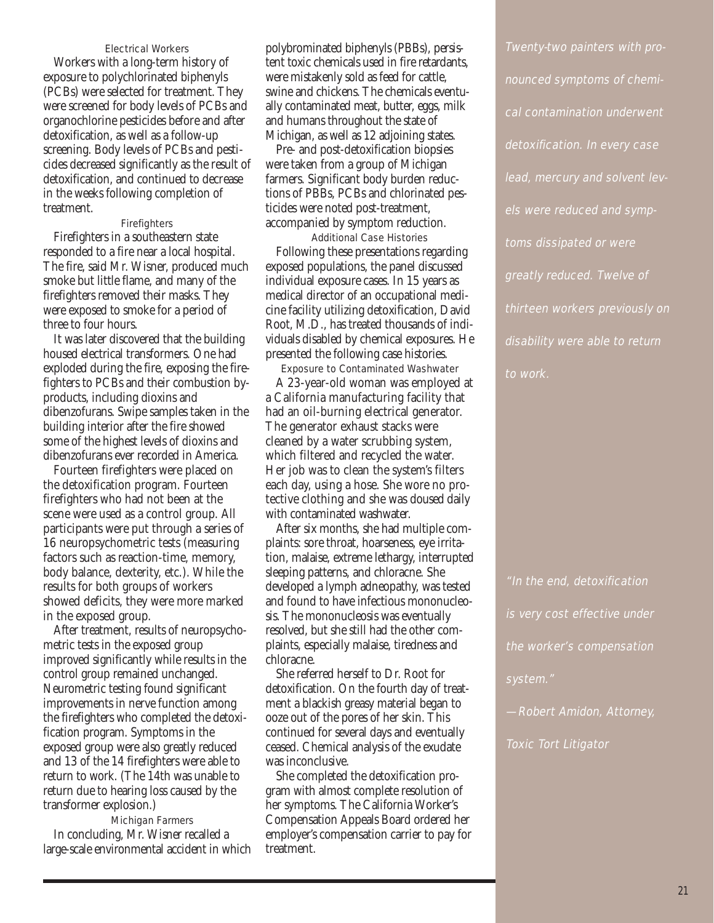#### Electrical Workers

Workers with a long-term history of exposure to polychlorinated biphenyls (PCBs) were selected for treatment. They were screened for body levels of PCBs and organochlorine pesticides before and after detoxification, as well as a follow-up screening. Body levels of PCBs and pesticides decreased significantly as the result of detoxification, and continued to decrease in the weeks following completion of treatment.

### **Firefighters**

Firefighters in a southeastern state responded to a fire near a local hospital. The fire, said Mr. Wisner, produced much smoke but little flame, and many of the firefighters removed their masks. They were exposed to smoke for a period of three to four hours.

It was later discovered that the building housed electrical transformers. One had exploded during the fire, exposing the firefighters to PCBs and their combustion byproducts, including dioxins and dibenzofurans. Swipe samples taken in the building interior after the fire showed some of the highest levels of dioxins and dibenzofurans ever recorded in America.

Fourteen firefighters were placed on the detoxification program. Fourteen firefighters who had not been at the scene were used as a control group. All participants were put through a series of 16 neuropsychometric tests (measuring factors such as reaction-time, memory, body balance, dexterity, etc.). While the results for both groups of workers showed deficits, they were more marked in the exposed group.

After treatment, results of neuropsychometric tests in the exposed group improved significantly while results in the control group remained unchanged. Neurometric testing found significant improvements in nerve function among the firefighters who completed the detoxification program. Symptoms in the exposed group were also greatly reduced and 13 of the 14 firefighters were able to return to work. (The 14th was unable to return due to hearing loss caused by the transformer explosion.)

Michigan Farmers In concluding, Mr. Wisner recalled a large-scale environmental accident in which

polybrominated biphenyls (PBBs), persistent toxic chemicals used in fire retardants, were mistakenly sold as feed for cattle, swine and chickens. The chemicals eventually contaminated meat, butter, eggs, milk and humans throughout the state of Michigan, as well as 12 adjoining states.

Pre- and post-detoxification biopsies were taken from a group of Michigan farmers. Significant body burden reductions of PBBs, PCBs and chlorinated pesticides were noted post-treatment, accompanied by symptom reduction.

Additional Case Histories Following these presentations regarding exposed populations, the panel discussed individual exposure cases. In 15 years as medical director of an occupational medicine facility utilizing detoxification, David Root, M.D., has treated thousands of individuals disabled by chemical exposures. He presented the following case histories.

Exposure to Contaminated Washwater A 23-year-old woman was employed at a California manufacturing facility that had an oil-burning electrical generator. The generator exhaust stacks were cleaned by a water scrubbing system, which filtered and recycled the water. Her job was to clean the system's filters each day, using a hose. She wore no protective clothing and she was doused daily with contaminated washwater.

After six months, she had multiple complaints: sore throat, hoarseness, eye irritation, malaise, extreme lethargy, interrupted sleeping patterns, and chloracne. She developed a lymph adneopathy, was tested and found to have infectious mononucleosis. The mononucleosis was eventually resolved, but she still had the other complaints, especially malaise, tiredness and chloracne.

She referred herself to Dr. Root for detoxification. On the fourth day of treatment a blackish greasy material began to ooze out of the pores of her skin. This continued for several days and eventually ceased. Chemical analysis of the exudate was inconclusive.

She completed the detoxification program with almost complete resolution of her symptoms. The California Worker's Compensation Appeals Board ordered her employer's compensation carrier to pay for treatment.

Twenty-two painters with pronounced symptoms of chemical contamination underwent detoxification. In every case lead, mercury and solvent levels were reduced and symptoms dissipated or were greatly reduced. Twelve of thirteen workers previously on disability were able to return to work.

"In the end, detoxification is very cost effective under the worker's compensation system." —Robert Amidon, Attorney,

Toxic Tort Litigator